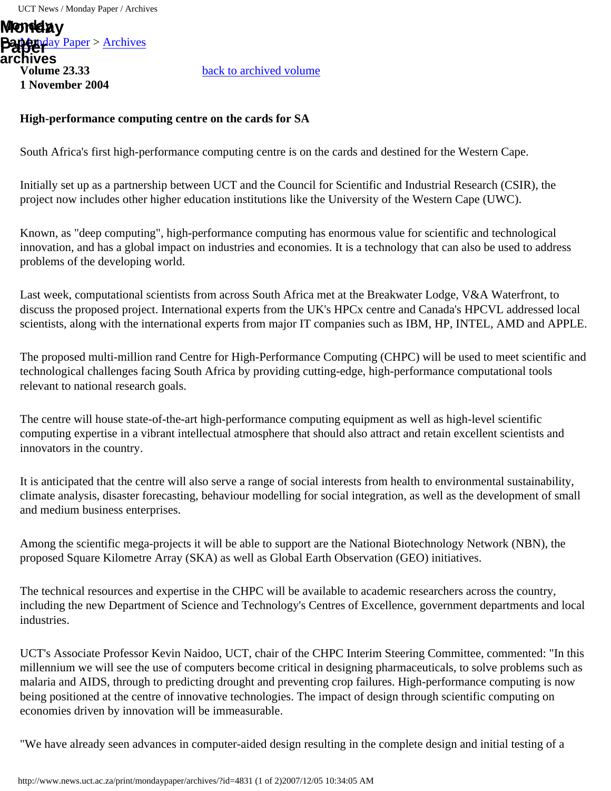[Monday Paper](http://www.news.uct.ac.za/mondaypaper/) > [Archives](http://www.news.uct.ac.za/mondaypaper/archives/) **Paper Paper Volume 23.33 1 November 2004 Monday archives**

[back to archived volume](http://www.news.uct.ac.za/mondaypaper/archives/?paper=178)

## <span id="page-0-0"></span>**High-performance computing centre on the cards for SA**

South Africa's first high-performance computing centre is on the cards and destined for the Western Cape.

Initially set up as a partnership between UCT and the Council for Scientific and Industrial Research (CSIR), the project now includes other higher education institutions like the University of the Western Cape (UWC).

Known, as "deep computing", high-performance computing has enormous value for scientific and technological innovation, and has a global impact on industries and economies. It is a technology that can also be used to address problems of the developing world.

Last week, computational scientists from across South Africa met at the Breakwater Lodge, V&A Waterfront, to discuss the proposed project. International experts from the UK's HPCx centre and Canada's HPCVL addressed local scientists, along with the international experts from major IT companies such as IBM, HP, INTEL, AMD and APPLE.

The proposed multi-million rand Centre for High-Performance Computing (CHPC) will be used to meet scientific and technological challenges facing South Africa by providing cutting-edge, high-performance computational tools relevant to national research goals.

The centre will house state-of-the-art high-performance computing equipment as well as high-level scientific computing expertise in a vibrant intellectual atmosphere that should also attract and retain excellent scientists and innovators in the country.

It is anticipated that the centre will also serve a range of social interests from health to environmental sustainability, climate analysis, disaster forecasting, behaviour modelling for social integration, as well as the development of small and medium business enterprises.

Among the scientific mega-projects it will be able to support are the National Biotechnology Network (NBN), the proposed Square Kilometre Array (SKA) as well as Global Earth Observation (GEO) initiatives.

The technical resources and expertise in the CHPC will be available to academic researchers across the country, including the new Department of Science and Technology's Centres of Excellence, government departments and local industries.

UCT's Associate Professor Kevin Naidoo, UCT, chair of the CHPC Interim Steering Committee, commented: "In this millennium we will see the use of computers become critical in designing pharmaceuticals, to solve problems such as malaria and AIDS, through to predicting drought and preventing crop failures. High-performance computing is now being positioned at the centre of innovative technologies. The impact of design through scientific computing on economies driven by innovation will be immeasurable.

"We have already seen advances in computer-aided design resulting in the complete design and initial testing of a